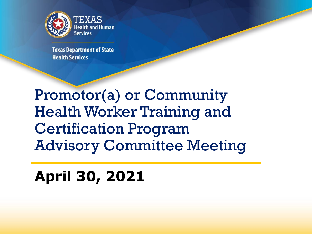

**Texas Department of State Health Services** 

Promotor(a) or Community Health Worker Training and Certification Program Advisory Committee Meeting

# **April 30, 2021**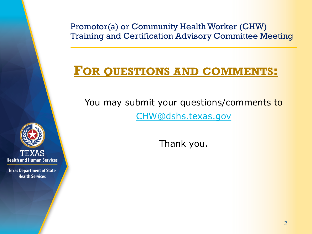# **FOR QUESTIONS AND COMMENTS:**

You may submit your questions/comments to [CHW@dshs.texas.gov](mailto:CHW@dshs.texas.gov) 

Thank you.

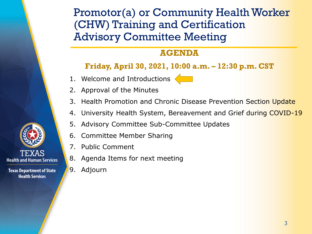### **AGENDA**

#### **Friday, April 30, 2021, 10:00 a.m. – 12:30 p.m. CST**

1. Welcome and Introductions



- 3. Health Promotion and Chronic Disease Prevention Section Update
- 4. University Health System, Bereavement and Grief during COVID-19
- 5. Advisory Committee Sub-Committee Updates
- 6. Committee Member Sharing
- 7. Public Comment
- 8. Agenda Items for next meeting
- 9. Adjourn

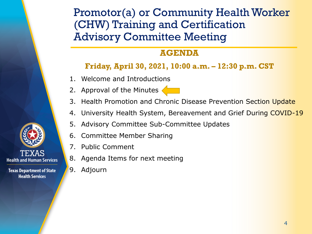### **AGENDA**

### **Friday, April 30, 2021, 10:00 a.m. – 12:30 p.m. CST**

- 1. Welcome and Introductions
- 2. Approval of the Minutes



- linutes<br>and Chronic<br>System, Ber 3. Health Promotion and Chronic Disease Prevention Section Update
- 4. University Health System, Bereavement and Grief During COVID-19
- 5. Advisory Committee Sub-Committee Updates
- 6. Committee Member Sharing
- 7. Public Comment
- 8. Agenda Items for next meeting
- 9. Adjourn



**Texas Department of State Health Services** 

**Health and Human Services**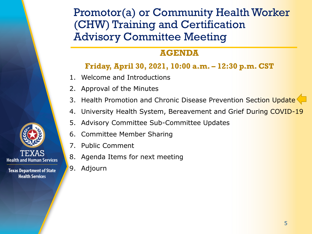### **AGENDA**

### **Friday, April 30, 2021, 10:00 a.m. – 12:30 p.m. CST**

- 1. Welcome and Introductions
- 2. Approval of the Minutes
- 3. Health Promotion and Chronic Disease Prevention Section Update
- 4. University Health System, Bereavement and Grief During COVID-19
- 5. Advisory Committee Sub-Committee Updates
- 6. Committee Member Sharing
- 7. Public Comment
- 8. Agenda Items for next meeting
- 9. Adjourn



**Health and Human Services**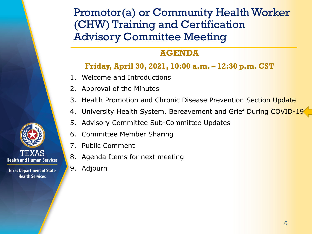### **AGENDA**

### **Friday, April 30, 2021, 10:00 a.m. – 12:30 p.m. CST**

- 1. Welcome and Introductions
- 2. Approval of the Minutes
- 3. Health Promotion and Chronic Disease Prevention Section Update
- 4. University Health System, Bereavement and Grief During COVID-19
- 5. Advisory Committee Sub-Committee Updates
- 6. Committee Member Sharing
- 7. Public Comment
- 8. Agenda Items for next meeting
- 9. Adjourn



TEXAS **Health and Human Services**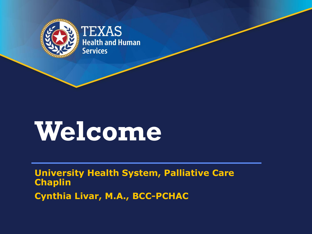

# **Welcome**

**University Health System, Palliative Care Chaplin** 

**Cynthia Livar, M.A., BCC-PCHAC**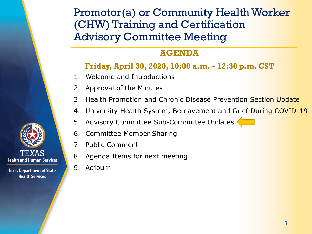### **AGENDA**

### **Friday, April 30, 2020, 10:00 a.m. – 12:30 p.m. CST**

- 1. Welcome and Introductions
- 2. Approval of the Minutes
- 3. Health Promotion and Chronic Disease Prevention Section Update
- 4. University Health System, Bereavement and Grief During COVID-19 4. University Health System, Bereavement and Grief D<br>5. Advisory Committee Sub-Committee Updates
- 
- 6. Committee Member Sharing
- 7. Public Comment
- 8. Agenda Items for next meeting
- 9. Adjourn

TEXAS **Health and Human Services**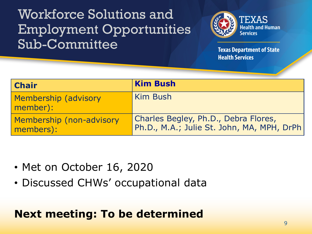# Workforce Solutions and Employment Opportunities Sub-Committee



**Texas Department of State Health Services** 

| <b>Chair</b>                          | <b>Kim Bush</b>                                                                    |
|---------------------------------------|------------------------------------------------------------------------------------|
| Membership (advisory<br>member):      | Kim Bush                                                                           |
| Membership (non-advisory<br>members): | Charles Begley, Ph.D., Debra Flores,<br>Ph.D., M.A.; Julie St. John, MA, MPH, DrPh |

- Met on October 16, 2020
- Discussed CHWs' occupational data

# **Next meeting: To be determined**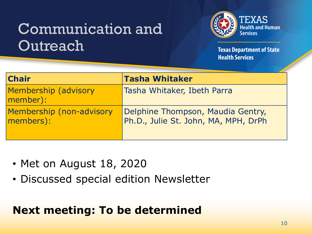# Communication and **Outreach**



**Texas Department of State Health Services** 

| <b>Chair</b>                          | <b>Tasha Whitaker</b>                                                     |
|---------------------------------------|---------------------------------------------------------------------------|
| Membership (advisory<br>member):      | Tasha Whitaker, Ibeth Parra                                               |
| Membership (non-advisory<br>members): | Delphine Thompson, Maudia Gentry,<br>Ph.D., Julie St. John, MA, MPH, DrPh |

- Met on August 18, 2020
- Discussed special edition Newsletter

# **Next meeting: To be determined**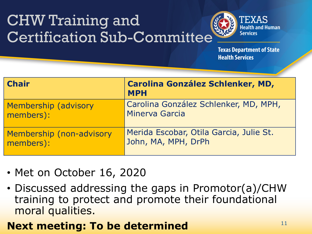# CHW Training and Certification Sub-Committee



**Texas Department of State Health Services** 

| <b>Chair</b>             | <b>Carolina González Schlenker, MD,</b><br><b>MPH</b> |
|--------------------------|-------------------------------------------------------|
| Membership (advisory     | Carolina González Schlenker, MD, MPH,                 |
| members):                | Minerva Garcia                                        |
| Membership (non-advisory | Merida Escobar, Otila Garcia, Julie St.               |
| members):                | John, MA, MPH, DrPh                                   |

- Met on October 16, 2020
- Discussed addressing the gaps in Promotor(a)/CHW training to protect and promote their foundational moral qualities.

### **Next meeting: To be determined** 11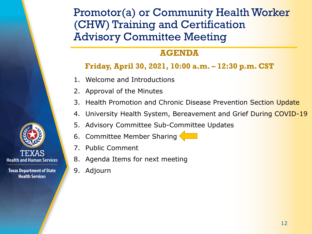### **AGENDA**

### **Friday, April 30, 2021, 10:00 a.m. – 12:30 p.m. CST**

- 1. Welcome and Introductions
- 2. Approval of the Minutes
- 3. Health Promotion and Chronic Disease Prevention Section Update
- 4. University Health System, Bereavement and Grief During COVID-19
- 5. Advisory Committee Sub-Committee Updates
- J. Advisory Committee Sub Committee
- 7. Public Comment
- 8. Agenda Items for next meeting
- 9. Adjourn

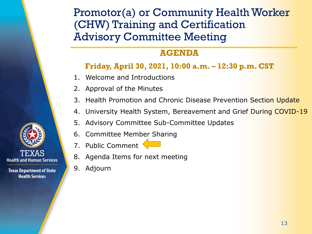### **AGENDA**

### **Friday, April 30, 2021, 10:00 a.m. – 12:30 p.m. CST**

- 1. Welcome and Introductions
- 2. Approval of the Minutes
- 3. Health Promotion and Chronic Disease Prevention Section Update
- 4. University Health System, Bereavement and Grief During COVID-19
- 5. Advisory Committee Sub-Committee Updates
- 6. Committee Member Sharing
- $\overline{\phantom{a}}$ 7. Public Comment
- 8. Agenda Items for next meeting
- 9. Adjourn

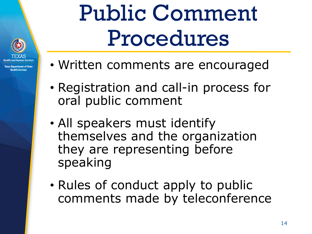

**Texas Department of State** alth Camica

# Public Comment Procedures

- Written comments are encouraged
- Registration and call-in process for oral public comment
- All speakers must identify themselves and the organization they are representing before speaking
- Rules of conduct apply to public comments made by teleconference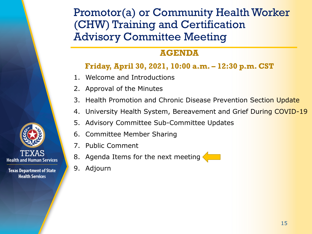### **AGENDA**

### **Friday, April 30, 2021, 10:00 a.m. – 12:30 p.m. CST**

- 1. Welcome and Introductions
- 2. Approval of the Minutes
- 3. Health Promotion and Chronic Disease Prevention Section Update
- 4. University Health System, Bereavement and Grief During COVID-19
- 5. Advisory Committee Sub-Committee Updates
- 6. Committee Member Sharing
- 7. Public Comment
- 8. Agenda Items for the next meeting
- 9. Adjourn

TEXAS **Health and Human Services**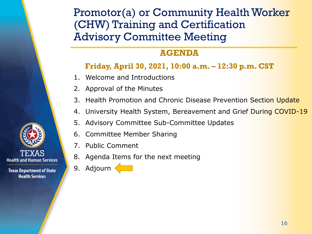### **AGENDA**

#### **Friday, April 30, 2021, 10:00 a.m. – 12:30 p.m. CST**

- 1. Welcome and Introductions
- 2. Approval of the Minutes
- 3. Health Promotion and Chronic Disease Prevention Section Update
- 4. University Health System, Bereavement and Grief During COVID-19
- 5. Advisory Committee Sub-Committee Updates
- 6. Committee Member Sharing
- 7. Public Comment
- 8. Agenda Items for the next meeting